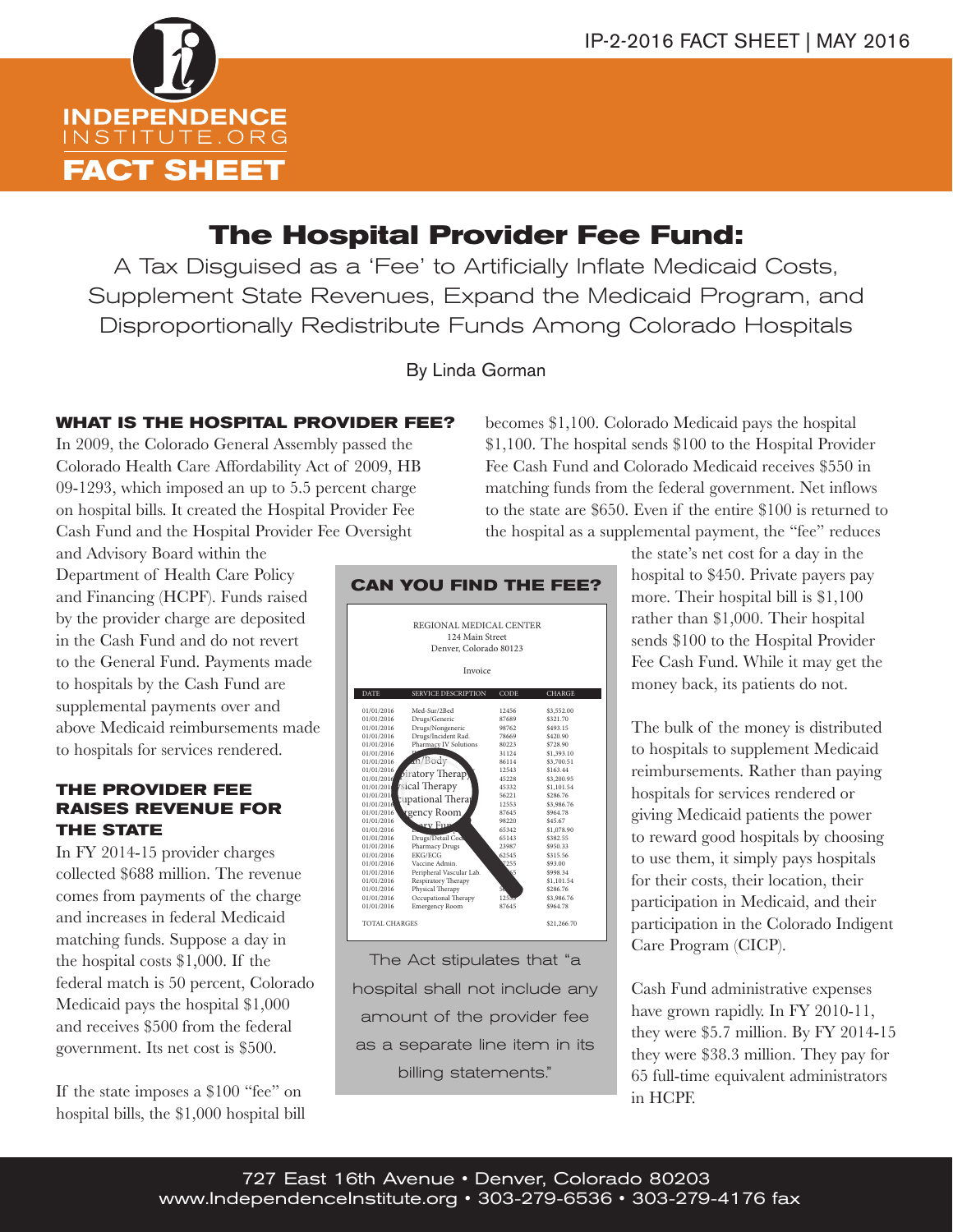

# **The Hospital Provider Fee Fund:**

A Tax Disguised as a 'Fee' to Artificially Inflate Medicaid Costs, Supplement State Revenues, Expand the Medicaid Program, and Disproportionally Redistribute Funds Among Colorado Hospitals

By Linda Gorman

## **WHAT IS THE HOSPITAL PROVIDER FEE?**

In 2009, the Colorado General Assembly passed the Colorado Health Care Affordability Act of 2009, HB 09-1293, which imposed an up to 5.5 percent charge on hospital bills. It created the Hospital Provider Fee Cash Fund and the Hospital Provider Fee Oversight

becomes \$1,100. Colorado Medicaid pays the hospital \$1,100. The hospital sends \$100 to the Hospital Provider Fee Cash Fund and Colorado Medicaid receives \$550 in matching funds from the federal government. Net inflows to the state are \$650. Even if the entire \$100 is returned to the hospital as a supplemental payment, the "fee" reduces

and Advisory Board within the Department of Health Care Policy and Financing (HCPF). Funds raised by the provider charge are deposited in the Cash Fund and do not revert to the General Fund. Payments made to hospitals by the Cash Fund are supplemental payments over and above Medicaid reimbursements made to hospitals for services rendered.

### **THE PROVIDER FEE RAISES REVENUE FOR THE STATE**

In FY 2014-15 provider charges collected \$688 million. The revenue comes from payments of the charge and increases in federal Medicaid matching funds. Suppose a day in the hospital costs \$1,000. If the federal match is 50 percent, Colorado Medicaid pays the hospital \$1,000 and receives \$500 from the federal government. Its net cost is \$500.

If the state imposes a \$100 "fee" on hospital bills, the \$1,000 hospital bill



The Act stipulates that "a  $\overline{D}$  hospital shall not include any  $\overline{C}$ amount of the provider fee as a separate line item in its billing statements."

the state's net cost for a day in the hospital to \$450. Private payers pay more. Their hospital bill is \$1,100 rather than \$1,000. Their hospital sends \$100 to the Hospital Provider Fee Cash Fund. While it may get the money back, its patients do not.

The bulk of the money is distributed to hospitals to supplement Medicaid reimbursements. Rather than paying hospitals for services rendered or giving Medicaid patients the power to reward good hospitals by choosing to use them, it simply pays hospitals for their costs, their location, their participation in Medicaid, and their participation in the Colorado Indigent Care Program (CICP).

Cash Fund administrative expenses have grown rapidly. In FY 2010-11, they were \$5.7 million. By FY 2014-15 they were \$38.3 million. They pay for 65 full-time equivalent administrators in HCPF.